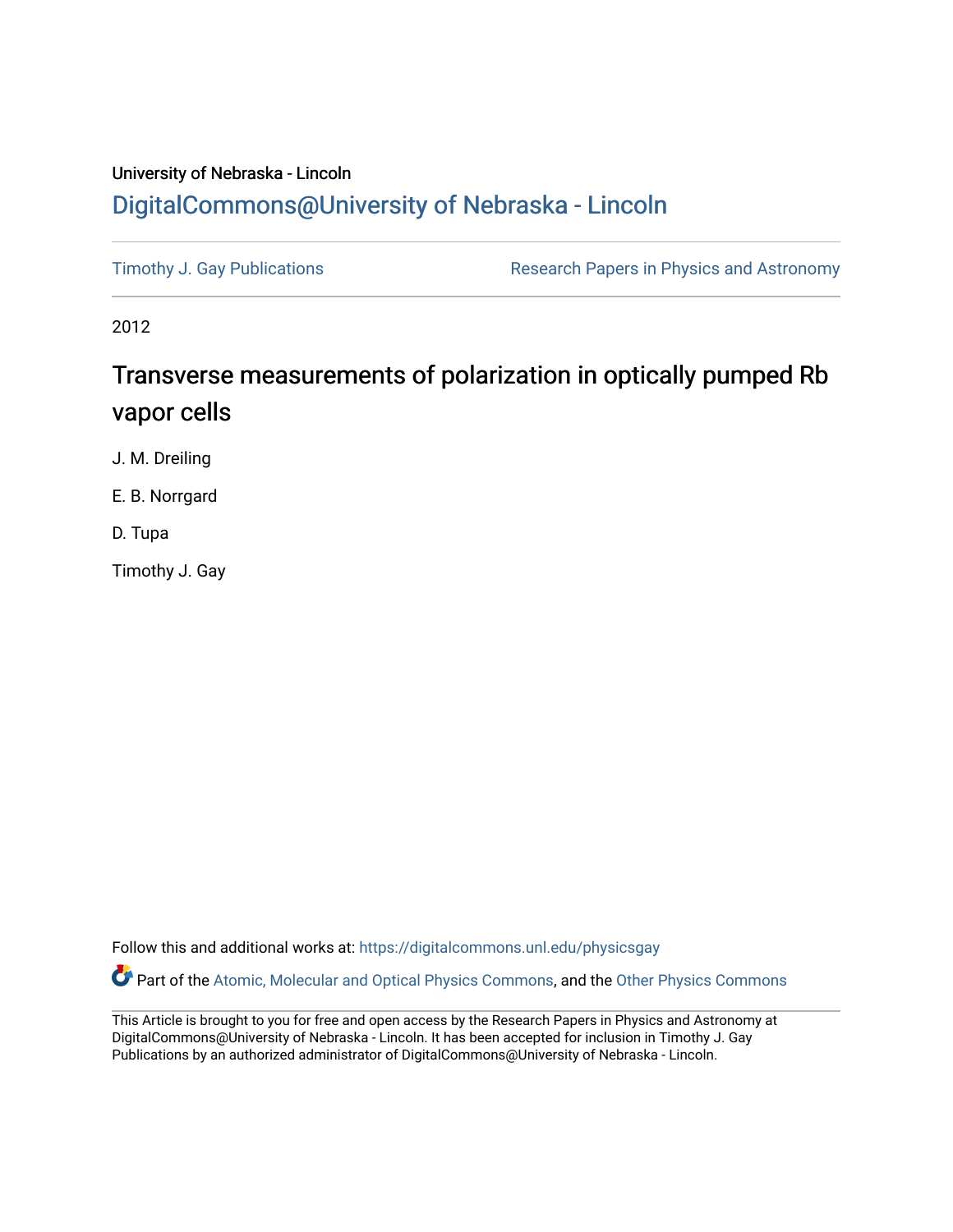## University of Nebraska - Lincoln [DigitalCommons@University of Nebraska - Lincoln](https://digitalcommons.unl.edu/)

[Timothy J. Gay Publications](https://digitalcommons.unl.edu/physicsgay) **Research Papers in Physics and Astronomy** 

2012

# Transverse measurements of polarization in optically pumped Rb vapor cells

J. M. Dreiling

E. B. Norrgard

D. Tupa

Timothy J. Gay

Follow this and additional works at: [https://digitalcommons.unl.edu/physicsgay](https://digitalcommons.unl.edu/physicsgay?utm_source=digitalcommons.unl.edu%2Fphysicsgay%2F78&utm_medium=PDF&utm_campaign=PDFCoverPages)

Part of the [Atomic, Molecular and Optical Physics Commons,](http://network.bepress.com/hgg/discipline/195?utm_source=digitalcommons.unl.edu%2Fphysicsgay%2F78&utm_medium=PDF&utm_campaign=PDFCoverPages) and the [Other Physics Commons](http://network.bepress.com/hgg/discipline/207?utm_source=digitalcommons.unl.edu%2Fphysicsgay%2F78&utm_medium=PDF&utm_campaign=PDFCoverPages) 

This Article is brought to you for free and open access by the Research Papers in Physics and Astronomy at DigitalCommons@University of Nebraska - Lincoln. It has been accepted for inclusion in Timothy J. Gay Publications by an authorized administrator of DigitalCommons@University of Nebraska - Lincoln.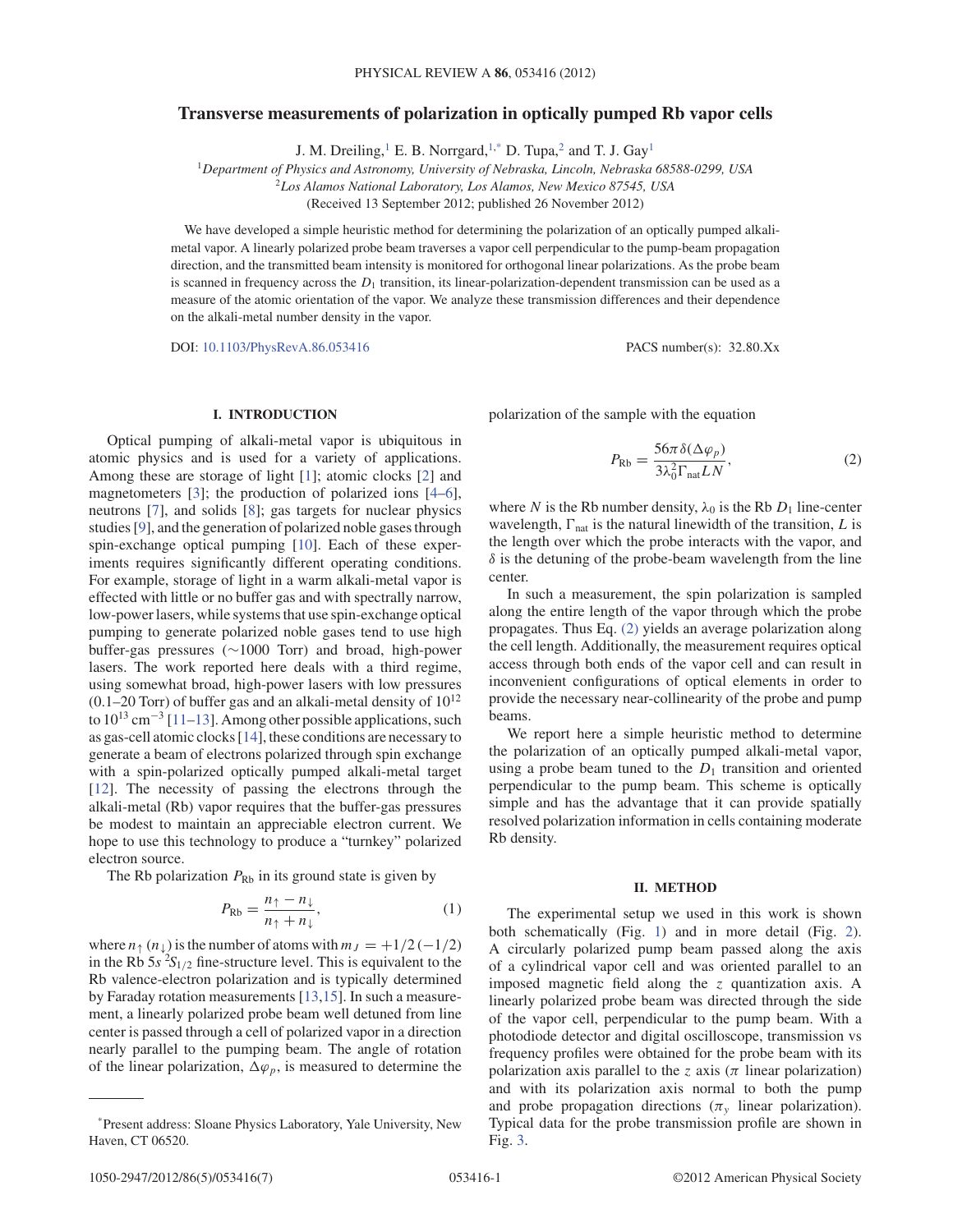### **Transverse measurements of polarization in optically pumped Rb vapor cells**

J. M. Dreiling,<sup>1</sup> E. B. Norrgard,<sup>1,\*</sup> D. Tupa,<sup>2</sup> and T. J. Gay<sup>1</sup>

<sup>1</sup>*Department of Physics and Astronomy, University of Nebraska, Lincoln, Nebraska 68588-0299, USA*

<sup>2</sup>*Los Alamos National Laboratory, Los Alamos, New Mexico 87545, USA*

(Received 13 September 2012; published 26 November 2012)

We have developed a simple heuristic method for determining the polarization of an optically pumped alkalimetal vapor. A linearly polarized probe beam traverses a vapor cell perpendicular to the pump-beam propagation direction, and the transmitted beam intensity is monitored for orthogonal linear polarizations. As the probe beam is scanned in frequency across the  $D_1$  transition, its linear-polarization-dependent transmission can be used as a measure of the atomic orientation of the vapor. We analyze these transmission differences and their dependence on the alkali-metal number density in the vapor.

DOI: 10.1103/PhysRevA.86.053416 PACS number(s): 32.80.Xx

#### **I. INTRODUCTION**

Optical pumping of alkali-metal vapor is ubiquitous in atomic physics and is used for a variety of applications. Among these are storage of light [1]; atomic clocks [2] and magnetometers [3]; the production of polarized ions [4–6], neutrons [7], and solids [8]; gas targets for nuclear physics studies [9], and the generation of polarized noble gases through spin-exchange optical pumping [10]. Each of these experiments requires significantly different operating conditions. For example, storage of light in a warm alkali-metal vapor is effected with little or no buffer gas and with spectrally narrow, low-power lasers, while systems that use spin-exchange optical pumping to generate polarized noble gases tend to use high buffer-gas pressures (∼1000 Torr) and broad, high-power lasers. The work reported here deals with a third regime, using somewhat broad, high-power lasers with low pressures  $(0.1–20$  Torr) of buffer gas and an alkali-metal density of  $10^{12}$ to  $10^{13}$  cm<sup>-3</sup> [11–13]. Among other possible applications, such as gas-cell atomic clocks [14], these conditions are necessary to generate a beam of electrons polarized through spin exchange with a spin-polarized optically pumped alkali-metal target [12]. The necessity of passing the electrons through the alkali-metal (Rb) vapor requires that the buffer-gas pressures be modest to maintain an appreciable electron current. We hope to use this technology to produce a "turnkey" polarized electron source.

The Rb polarization  $P_{\text{Rb}}$  in its ground state is given by

$$
P_{\text{Rb}} = \frac{n_{\uparrow} - n_{\downarrow}}{n_{\uparrow} + n_{\downarrow}},\tag{1}
$$

where  $n_{\uparrow}$  ( $n_{\downarrow}$ ) is the number of atoms with  $m_J = +1/2$  (-1/2) in the Rb  $5s^2S_{1/2}$  fine-structure level. This is equivalent to the Rb valence-electron polarization and is typically determined by Faraday rotation measurements [13,15]. In such a measurement, a linearly polarized probe beam well detuned from line center is passed through a cell of polarized vapor in a direction nearly parallel to the pumping beam. The angle of rotation of the linear polarization,  $\Delta \varphi_p$ , is measured to determine the

polarization of the sample with the equation

$$
P_{\text{Rb}} = \frac{56\pi\delta(\Delta\varphi_p)}{3\lambda_0^2 \Gamma_{\text{nat}} L N},\tag{2}
$$

where N is the Rb number density,  $\lambda_0$  is the Rb  $D_1$  line-center wavelength,  $\Gamma_{\text{nat}}$  is the natural linewidth of the transition, L is the length over which the probe interacts with the vapor, and  $\delta$  is the detuning of the probe-beam wavelength from the line center.

In such a measurement, the spin polarization is sampled along the entire length of the vapor through which the probe propagates. Thus Eq. (2) yields an average polarization along the cell length. Additionally, the measurement requires optical access through both ends of the vapor cell and can result in inconvenient configurations of optical elements in order to provide the necessary near-collinearity of the probe and pump beams.

We report here a simple heuristic method to determine the polarization of an optically pumped alkali-metal vapor, using a probe beam tuned to the  $D_1$  transition and oriented perpendicular to the pump beam. This scheme is optically simple and has the advantage that it can provide spatially resolved polarization information in cells containing moderate Rb density.

#### **II. METHOD**

The experimental setup we used in this work is shown both schematically (Fig. 1) and in more detail (Fig. 2). A circularly polarized pump beam passed along the axis of a cylindrical vapor cell and was oriented parallel to an imposed magnetic field along the z quantization axis. A linearly polarized probe beam was directed through the side of the vapor cell, perpendicular to the pump beam. With a photodiode detector and digital oscilloscope, transmission vs frequency profiles were obtained for the probe beam with its polarization axis parallel to the z axis ( $\pi$  linear polarization) and with its polarization axis normal to both the pump and probe propagation directions ( $\pi$ <sup>v</sup> linear polarization). Typical data for the probe transmission profile are shown in Fig. 3.

<sup>\*</sup>Present address: Sloane Physics Laboratory, Yale University, New Haven, CT 06520.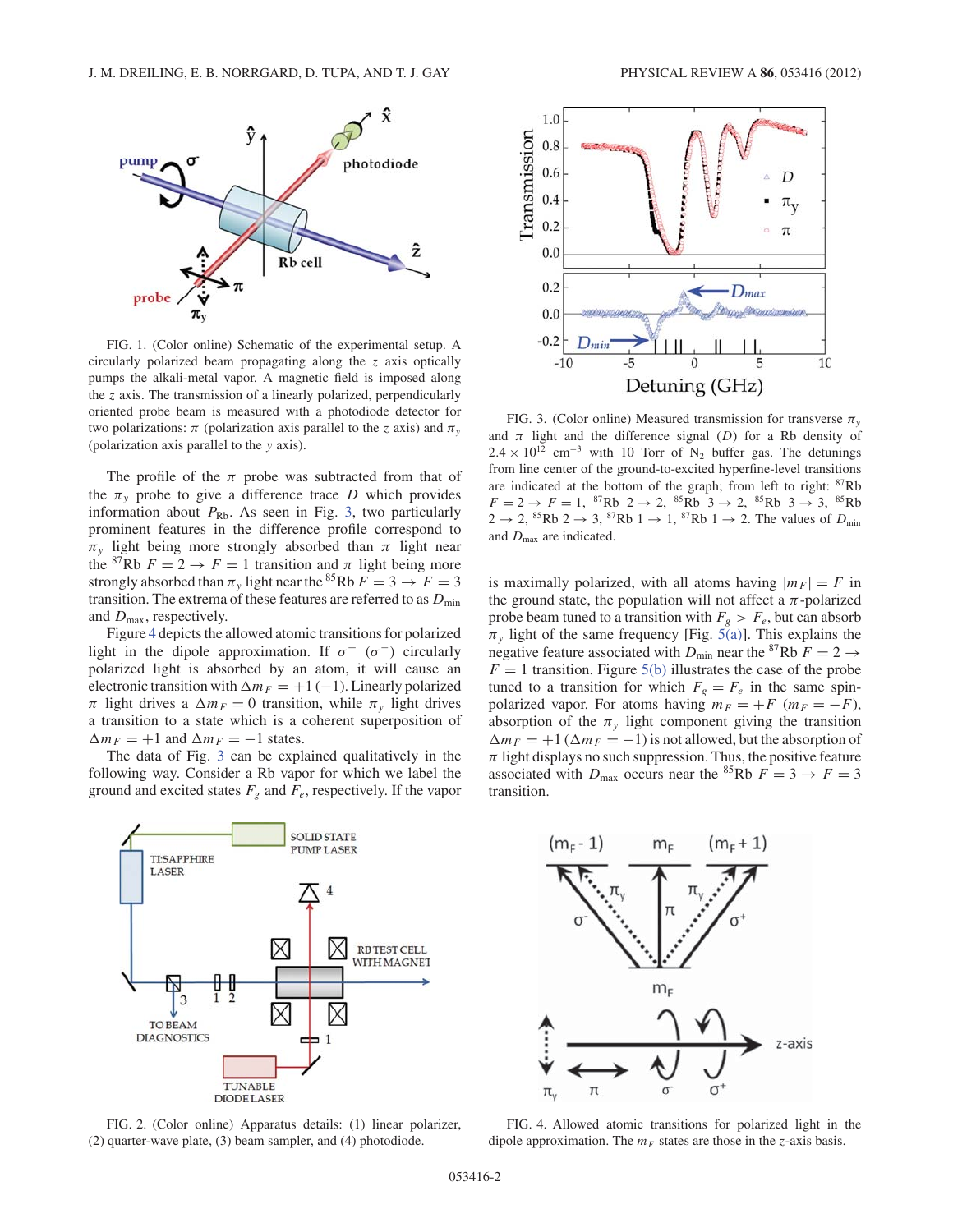

FIG. 1. (Color online) Schematic of the experimental setup. A circularly polarized beam propagating along the z axis optically pumps the alkali-metal vapor. A magnetic field is imposed along the  $z$  axis. The transmission of a linearly polarized, perpendicularly oriented probe beam is measured with a photodiode detector for two polarizations:  $\pi$  (polarization axis parallel to the z axis) and  $\pi$ <sub>y</sub> (polarization axis parallel to the y axis).

The profile of the  $\pi$  probe was subtracted from that of the  $\pi$ <sub>v</sub> probe to give a difference trace D which provides information about  $P_{\text{Rb}}$ . As seen in Fig. 3, two particularly prominent features in the difference profile correspond to  $\pi_{v}$  light being more strongly absorbed than  $\pi$  light near the <sup>87</sup>Rb  $F = 2 \rightarrow F = 1$  transition and  $\pi$  light being more strongly absorbed than  $\pi$ <sub>v</sub> light near the <sup>85</sup>Rb  $\overline{F} = 3 \rightarrow \overline{F} = 3$ transition. The extrema of these features are referred to as  $D_{\text{min}}$ and  $D_{\text{max}}$ , respectively.

Figure 4 depicts the allowed atomic transitions for polarized light in the dipole approximation. If  $\sigma^+$  ( $\sigma^-$ ) circularly polarized light is absorbed by an atom, it will cause an electronic transition with  $\Delta m_F = +1$  (-1). Linearly polarized  $\pi$  light drives a  $\Delta m_F = 0$  transition, while  $\pi_y$  light drives a transition to a state which is a coherent superposition of  $\Delta m_F = +1$  and  $\Delta m_F = -1$  states.

The data of Fig. 3 can be explained qualitatively in the following way. Consider a Rb vapor for which we label the ground and excited states  $F_g$  and  $F_e$ , respectively. If the vapor



FIG. 2. (Color online) Apparatus details: (1) linear polarizer, (2) quarter-wave plate, (3) beam sampler, and (4) photodiode.





FIG. 3. (Color online) Measured transmission for transverse  $\pi$ <sub>v</sub> and  $\pi$  light and the difference signal (D) for a Rb density of  $2.4 \times 10^{12}$  cm<sup>-3</sup> with 10 Torr of N<sub>2</sub> buffer gas. The detunings from line center of the ground-to-excited hyperfine-level transitions are indicated at the bottom of the graph; from left to right: <sup>87</sup>Rb  $F = 2 \rightarrow F = 1$ ,  ${}^{87}Rb$   $2 \rightarrow 2$ ,  ${}^{85}Rb$   $3 \rightarrow 2$ ,  ${}^{85}Rb$   $3 \rightarrow 3$ ,  ${}^{85}Rb$  $2 \rightarrow 2$ , <sup>85</sup>Rb 2  $\rightarrow 3$ , <sup>87</sup>Rb 1  $\rightarrow 1$ , <sup>87</sup>Rb 1  $\rightarrow 2$ . The values of  $D_{\text{min}}$ and  $D_{\text{max}}$  are indicated.

is maximally polarized, with all atoms having  $|m_F| = F$  in the ground state, the population will not affect a  $\pi$ -polarized probe beam tuned to a transition with  $F_g > F_e$ , but can absorb  $\pi_{y}$  light of the same frequency [Fig. 5(a)]. This explains the negative feature associated with  $D_{\text{min}}$  near the <sup>87</sup>Rb  $F = 2 \rightarrow$  $F = 1$  transition. Figure 5(b) illustrates the case of the probe tuned to a transition for which  $F_g = F_e$  in the same spinpolarized vapor. For atoms having  $m_F = +F$  ( $m_F = -F$ ), absorption of the  $\pi$ <sub>v</sub> light component giving the transition  $\Delta m_F = +1$  ( $\Delta m_F = -1$ ) is not allowed, but the absorption of  $\pi$  light displays no such suppression. Thus, the positive feature associated with  $D_{\text{max}}$  occurs near the <sup>85</sup>Rb  $F = 3 \rightarrow F = 3$ transition.



FIG. 4. Allowed atomic transitions for polarized light in the dipole approximation. The  $m_F$  states are those in the z-axis basis.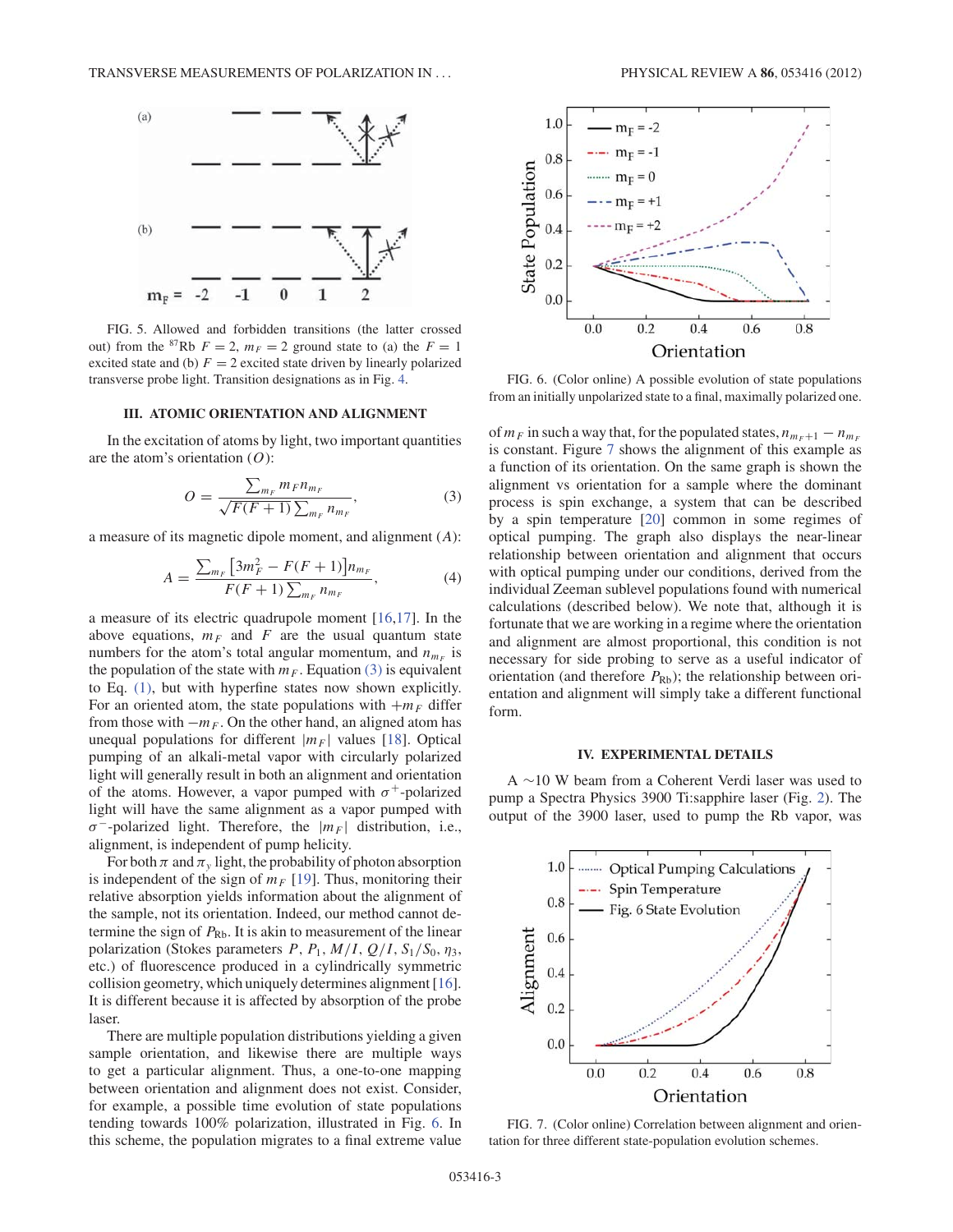

FIG. 5. Allowed and forbidden transitions (the latter crossed out) from the <sup>87</sup>Rb  $F = 2$ ,  $m_F = 2$  ground state to (a) the  $F = 1$ excited state and (b)  $F = 2$  excited state driven by linearly polarized transverse probe light. Transition designations as in Fig. 4.

#### **III. ATOMIC ORIENTATION AND ALIGNMENT**

In the excitation of atoms by light, two important quantities are the atom's orientation  $(O)$ :

$$
O = \frac{\sum_{m_F} m_F n_{m_F}}{\sqrt{F(F+1)} \sum_{m_F} n_{m_F}},\tag{3}
$$

a measure of its magnetic dipole moment, and alignment (A):

$$
A = \frac{\sum_{m_F} \left[ 3m_F^2 - F(F+1) \right] n_{m_F}}{F(F+1) \sum_{m_F} n_{m_F}},\tag{4}
$$

a measure of its electric quadrupole moment [16,17]. In the above equations,  $m_F$  and F are the usual quantum state numbers for the atom's total angular momentum, and  $n_{m_F}$  is the population of the state with  $m_F$ . Equation (3) is equivalent to Eq. (1), but with hyperfine states now shown explicitly. For an oriented atom, the state populations with  $+m_F$  differ from those with  $-m_F$ . On the other hand, an aligned atom has unequal populations for different  $|m_F|$  values [18]. Optical pumping of an alkali-metal vapor with circularly polarized light will generally result in both an alignment and orientation of the atoms. However, a vapor pumped with  $\sigma^+$ -polarized light will have the same alignment as a vapor pumped with  $\sigma^-$ -polarized light. Therefore, the  $|m_F|$  distribution, i.e., alignment, is independent of pump helicity.

For both  $\pi$  and  $\pi$ <sub>v</sub> light, the probability of photon absorption is independent of the sign of  $m_F$  [19]. Thus, monitoring their relative absorption yields information about the alignment of the sample, not its orientation. Indeed, our method cannot determine the sign of  $P_{\text{Rb}}$ . It is akin to measurement of the linear polarization (Stokes parameters  $P$ ,  $P_1$ ,  $M/I$ ,  $Q/I$ ,  $S_1/S_0$ ,  $\eta_3$ , etc.) of fluorescence produced in a cylindrically symmetric collision geometry, which uniquely determines alignment [16]. It is different because it is affected by absorption of the probe laser.

There are multiple population distributions yielding a given sample orientation, and likewise there are multiple ways to get a particular alignment. Thus, a one-to-one mapping between orientation and alignment does not exist. Consider, for example, a possible time evolution of state populations tending towards 100% polarization, illustrated in Fig. 6. In this scheme, the population migrates to a final extreme value



FIG. 6. (Color online) A possible evolution of state populations from an initially unpolarized state to a final, maximally polarized one.

of  $m_F$  in such a way that, for the populated states,  $n_{m_F + 1} - n_{m_F}$ is constant. Figure 7 shows the alignment of this example as a function of its orientation. On the same graph is shown the alignment vs orientation for a sample where the dominant process is spin exchange, a system that can be described by a spin temperature [20] common in some regimes of optical pumping. The graph also displays the near-linear relationship between orientation and alignment that occurs with optical pumping under our conditions, derived from the individual Zeeman sublevel populations found with numerical calculations (described below). We note that, although it is fortunate that we are working in a regime where the orientation and alignment are almost proportional, this condition is not necessary for side probing to serve as a useful indicator of orientation (and therefore  $P_{\text{Rb}}$ ); the relationship between orientation and alignment will simply take a different functional form.

#### **IV. EXPERIMENTAL DETAILS**

A ∼10 W beam from a Coherent Verdi laser was used to pump a Spectra Physics 3900 Ti:sapphire laser (Fig. 2). The output of the 3900 laser, used to pump the Rb vapor, was



FIG. 7. (Color online) Correlation between alignment and orientation for three different state-population evolution schemes.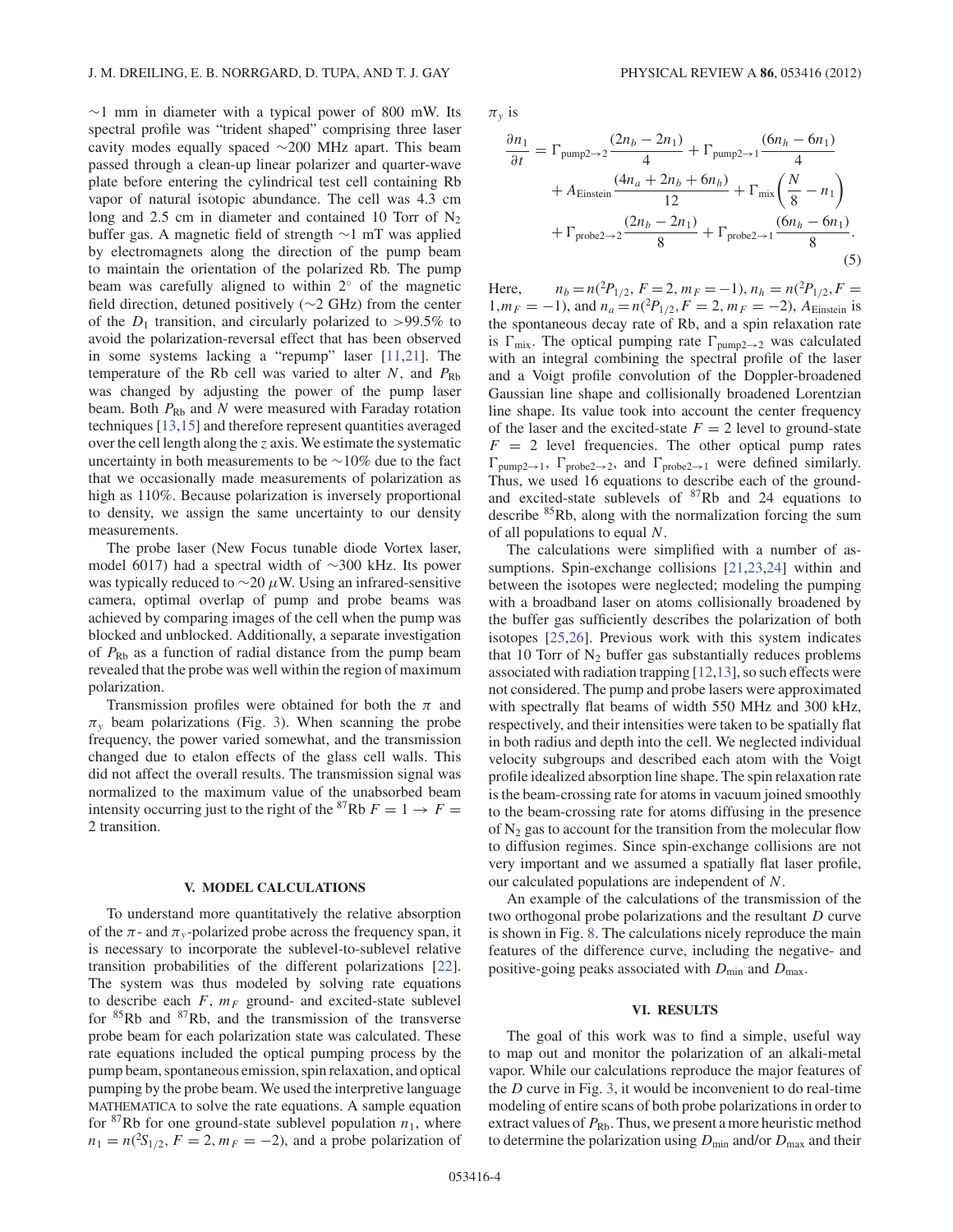$∼1$  mm in diameter with a typical power of 800 mW. Its spectral profile was "trident shaped" comprising three laser cavity modes equally spaced ∼200 MHz apart. This beam passed through a clean-up linear polarizer and quarter-wave plate before entering the cylindrical test cell containing Rb vapor of natural isotopic abundance. The cell was 4.3 cm long and 2.5 cm in diameter and contained 10 Torr of  $N_2$ buffer gas. A magnetic field of strength ∼1 mT was applied by electromagnets along the direction of the pump beam to maintain the orientation of the polarized Rb. The pump beam was carefully aligned to within 2◦ of the magnetic field direction, detuned positively (∼2 GHz) from the center of the  $D_1$  transition, and circularly polarized to >99.5% to avoid the polarization-reversal effect that has been observed in some systems lacking a "repump" laser [11,21]. The temperature of the Rb cell was varied to alter N, and  $P_{\rm Rb}$ was changed by adjusting the power of the pump laser beam. Both  $P_{\rm Rb}$  and N were measured with Faraday rotation techniques [13,15] and therefore represent quantities averaged over the cell length along the  $z$  axis. We estimate the systematic uncertainty in both measurements to be ∼10% due to the fact that we occasionally made measurements of polarization as high as 110%. Because polarization is inversely proportional to density, we assign the same uncertainty to our density measurements.

The probe laser (New Focus tunable diode Vortex laser, model 6017) had a spectral width of ∼300 kHz. Its power was typically reduced to  $\sim$ 20  $\mu$ W. Using an infrared-sensitive camera, optimal overlap of pump and probe beams was achieved by comparing images of the cell when the pump was blocked and unblocked. Additionally, a separate investigation of  $P_{\rm Rb}$  as a function of radial distance from the pump beam revealed that the probe was well within the region of maximum polarization.

Transmission profiles were obtained for both the  $\pi$  and  $\pi$ <sub>y</sub> beam polarizations (Fig. 3). When scanning the probe frequency, the power varied somewhat, and the transmission changed due to etalon effects of the glass cell walls. This did not affect the overall results. The transmission signal was normalized to the maximum value of the unabsorbed beam intensity occurring just to the right of the <sup>87</sup>Rb  $F = 1 \rightarrow F =$ 2 transition.

#### **V. MODEL CALCULATIONS**

To understand more quantitatively the relative absorption of the  $\pi$ - and  $\pi$ <sub>y</sub>-polarized probe across the frequency span, it is necessary to incorporate the sublevel-to-sublevel relative transition probabilities of the different polarizations [22]. The system was thus modeled by solving rate equations to describe each  $F$ ,  $m_F$  ground- and excited-state sublevel for  ${}^{85}$ Rb and  ${}^{87}$ Rb, and the transmission of the transverse probe beam for each polarization state was calculated. These rate equations included the optical pumping process by the pump beam, spontaneous emission, spin relaxation, and optical pumping by the probe beam. We used the interpretive language MATHEMATICA to solve the rate equations. A sample equation for <sup>87</sup>Rb for one ground-state sublevel population  $n_1$ , where  $n_1 = n({}^2S_{1/2}, F = 2, m_F = -2)$ , and a probe polarization of

 $\pi_v$  is

$$
\frac{\partial n_1}{\partial t} = \Gamma_{\text{pump2}\to 2} \frac{(2n_b - 2n_1)}{4} + \Gamma_{\text{pump2}\to 1} \frac{(6n_h - 6n_1)}{4} + A_{\text{Einstein}} \frac{(4n_a + 2n_b + 6n_h)}{12} + \Gamma_{\text{mix}} \left( \frac{N}{8} - n_1 \right) + \Gamma_{\text{probe2}\to 2} \frac{(2n_b - 2n_1)}{8} + \Gamma_{\text{probe2}\to 1} \frac{(6n_h - 6n_1)}{8}.
$$
\n(5)

Here,  $n_b = n(^2P_{1/2}, F = 2, m_F = -1), n_h = n(^2P_{1/2}, F = 1)$  $1, m_F = -1$ ), and  $n_a = n(^2P_{1/2}, F = 2, m_F = -2)$ , AEinstein is the spontaneous decay rate of Rb, and a spin relaxation rate is  $\Gamma_{\text{mix}}$ . The optical pumping rate  $\Gamma_{\text{pump2}\rightarrow2}$  was calculated with an integral combining the spectral profile of the laser and a Voigt profile convolution of the Doppler-broadened Gaussian line shape and collisionally broadened Lorentzian line shape. Its value took into account the center frequency of the laser and the excited-state  $F = 2$  level to ground-state  $F = 2$  level frequencies. The other optical pump rates  $\Gamma_{\text{pump2}\rightarrow 1}$ ,  $\Gamma_{\text{probe2}\rightarrow 2}$ , and  $\Gamma_{\text{probe2}\rightarrow 1}$  were defined similarly. Thus, we used 16 equations to describe each of the groundand excited-state sublevels of  $87Rb$  and 24 equations to describe <sup>85</sup>Rb, along with the normalization forcing the sum of all populations to equal N.

The calculations were simplified with a number of assumptions. Spin-exchange collisions [21,23,24] within and between the isotopes were neglected; modeling the pumping with a broadband laser on atoms collisionally broadened by the buffer gas sufficiently describes the polarization of both isotopes [25,26]. Previous work with this system indicates that 10 Torr of  $N_2$  buffer gas substantially reduces problems associated with radiation trapping [12,13], so such effects were not considered. The pump and probe lasers were approximated with spectrally flat beams of width 550 MHz and 300 kHz, respectively, and their intensities were taken to be spatially flat in both radius and depth into the cell. We neglected individual velocity subgroups and described each atom with the Voigt profile idealized absorption line shape. The spin relaxation rate is the beam-crossing rate for atoms in vacuum joined smoothly to the beam-crossing rate for atoms diffusing in the presence of  $N_2$  gas to account for the transition from the molecular flow to diffusion regimes. Since spin-exchange collisions are not very important and we assumed a spatially flat laser profile, our calculated populations are independent of N.

An example of the calculations of the transmission of the two orthogonal probe polarizations and the resultant  $D$  curve is shown in Fig. 8. The calculations nicely reproduce the main features of the difference curve, including the negative- and positive-going peaks associated with  $D_{\text{min}}$  and  $D_{\text{max}}$ .

#### **VI. RESULTS**

The goal of this work was to find a simple, useful way to map out and monitor the polarization of an alkali-metal vapor. While our calculations reproduce the major features of the D curve in Fig. 3, it would be inconvenient to do real-time modeling of entire scans of both probe polarizations in order to extract values of  $P_{\text{Rb}}$ . Thus, we present a more heuristic method to determine the polarization using  $D_{\text{min}}$  and/or  $D_{\text{max}}$  and their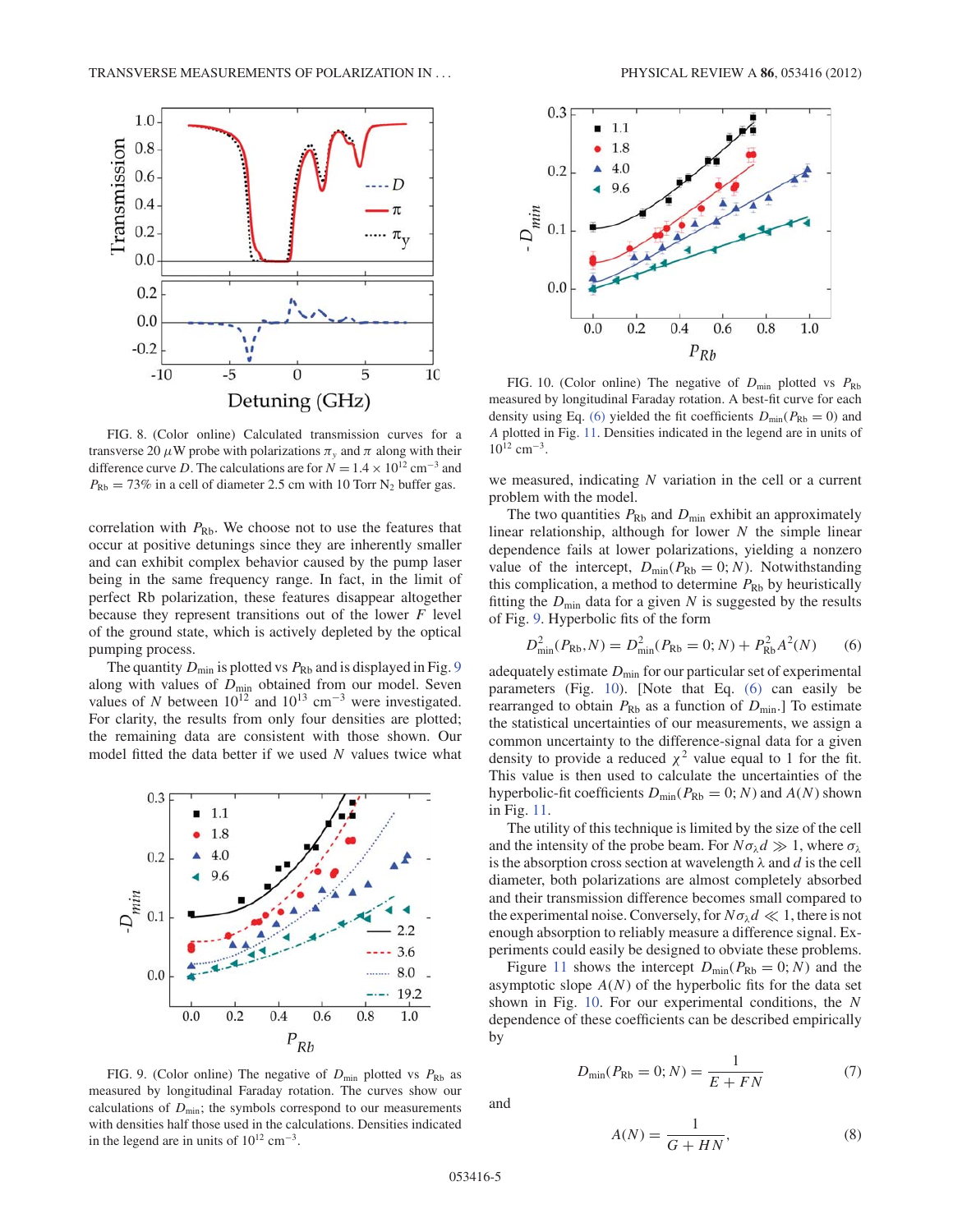

FIG. 8. (Color online) Calculated transmission curves for a transverse 20  $\mu$ W probe with polarizations  $\pi$ <sub>v</sub> and  $\pi$  along with their difference curve D. The calculations are for  $N = 1.4 \times 10^{12}$  cm<sup>-3</sup> and  $P_{\text{Rb}} = 73\%$  in a cell of diameter 2.5 cm with 10 Torr N<sub>2</sub> buffer gas.

correlation with  $P_{\rm Rb}$ . We choose not to use the features that occur at positive detunings since they are inherently smaller and can exhibit complex behavior caused by the pump laser being in the same frequency range. In fact, in the limit of perfect Rb polarization, these features disappear altogether because they represent transitions out of the lower  $F$  level of the ground state, which is actively depleted by the optical pumping process.

The quantity  $D_{\text{min}}$  is plotted vs  $P_{\text{Rb}}$  and is displayed in Fig. 9 along with values of  $D_{\text{min}}$  obtained from our model. Seven values of N between  $10^{12}$  and  $10^{13}$  cm<sup>-3</sup> were investigated. For clarity, the results from only four densities are plotted; the remaining data are consistent with those shown. Our model fitted the data better if we used N values twice what





FIG. 10. (Color online) The negative of  $D_{\text{min}}$  plotted vs  $P_{\text{Rb}}$ measured by longitudinal Faraday rotation. A best-fit curve for each density using Eq. (6) yielded the fit coefficients  $D_{\text{min}}(P_{\text{Rb}} = 0)$  and A plotted in Fig. 11. Densities indicated in the legend are in units of  $10^{12}$  cm<sup>-3</sup>.

we measured, indicating  $N$  variation in the cell or a current problem with the model.

The two quantities  $P_{\text{Rb}}$  and  $D_{\text{min}}$  exhibit an approximately linear relationship, although for lower  $N$  the simple linear dependence fails at lower polarizations, yielding a nonzero value of the intercept,  $D_{\text{min}}(P_{\text{Rb}} = 0; N)$ . Notwithstanding this complication, a method to determine  $P_{\text{Rb}}$  by heuristically fitting the  $D_{\text{min}}$  data for a given N is suggested by the results of Fig. 9. Hyperbolic fits of the form

$$
D_{\min}^2(P_{\text{Rb}}, N) = D_{\min}^2(P_{\text{Rb}} = 0; N) + P_{\text{Rb}}^2 A^2(N) \tag{6}
$$

adequately estimate  $D_{\text{min}}$  for our particular set of experimental parameters (Fig. 10). [Note that Eq. (6) can easily be rearranged to obtain  $P_{\text{Rb}}$  as a function of  $D_{\text{min}}$ . To estimate the statistical uncertainties of our measurements, we assign a common uncertainty to the difference-signal data for a given density to provide a reduced  $\chi^2$  value equal to 1 for the fit. This value is then used to calculate the uncertainties of the hyperbolic-fit coefficients  $D_{\text{min}}(P_{\text{Rb}} = 0; N)$  and  $A(N)$  shown in Fig. 11.

The utility of this technique is limited by the size of the cell and the intensity of the probe beam. For  $N\sigma_{\lambda}d \gg 1$ , where  $\sigma_{\lambda}$ is the absorption cross section at wavelength  $\lambda$  and  $d$  is the cell diameter, both polarizations are almost completely absorbed and their transmission difference becomes small compared to the experimental noise. Conversely, for  $N\sigma_{\lambda}d \ll 1$ , there is not enough absorption to reliably measure a difference signal. Experiments could easily be designed to obviate these problems.

Figure 11 shows the intercept  $D_{\text{min}}(P_{\text{Rb}} = 0; N)$  and the asymptotic slope  $A(N)$  of the hyperbolic fits for the data set shown in Fig. 10. For our experimental conditions, the N dependence of these coefficients can be described empirically by

$$
D_{\min}(P_{\text{Rb}} = 0; N) = \frac{1}{E + FN}
$$
 (7)

FIG. 9. (Color online) The negative of  $D_{\text{min}}$  plotted vs  $P_{\text{Rb}}$  as measured by longitudinal Faraday rotation. The curves show our calculations of  $D_{\text{min}}$ ; the symbols correspond to our measurements with densities half those used in the calculations. Densities indicated in the legend are in units of  $10^{12}$  cm<sup>-3</sup>.

and

$$
A(N) = \frac{1}{G + HN},\tag{8}
$$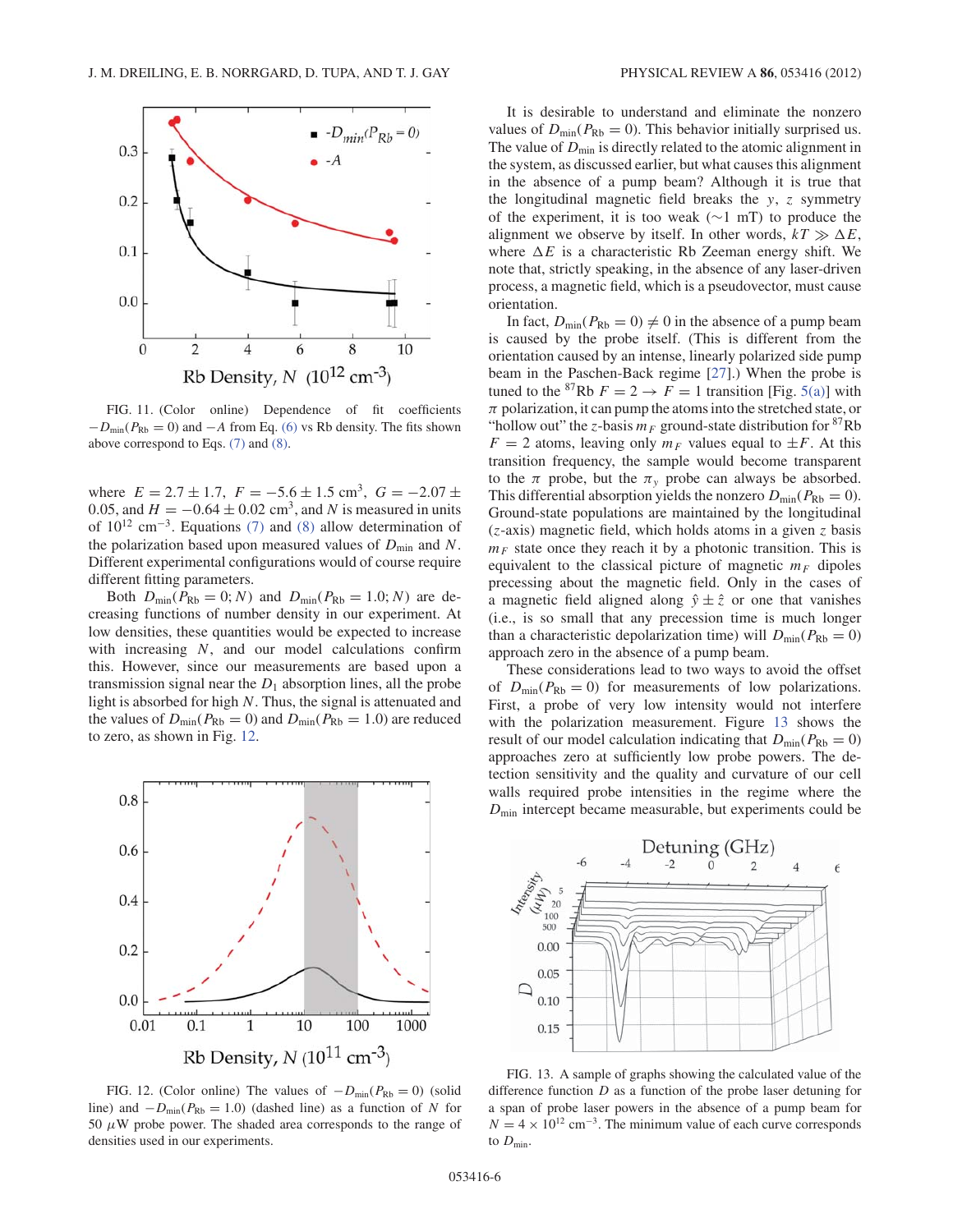

FIG. 11. (Color online) Dependence of fit coefficients  $-D_{min}(P_{Rb} = 0)$  and  $-A$  from Eq. (6) vs Rb density. The fits shown above correspond to Eqs. (7) and (8).

where  $E = 2.7 \pm 1.7$ ,  $F = -5.6 \pm 1.5$  cm<sup>3</sup>,  $G = -2.07 \pm$ 0.05, and  $H = -0.64 \pm 0.02$  cm<sup>3</sup>, and N is measured in units of  $10^{12}$  cm<sup>-3</sup>. Equations (7) and (8) allow determination of the polarization based upon measured values of  $D_{\text{min}}$  and N. Different experimental configurations would of course require different fitting parameters.

Both  $D_{\min}(P_{\text{Rb}} = 0; N)$  and  $D_{\min}(P_{\text{Rb}} = 1.0; N)$  are decreasing functions of number density in our experiment. At low densities, these quantities would be expected to increase with increasing N, and our model calculations confirm this. However, since our measurements are based upon a transmission signal near the  $D_1$  absorption lines, all the probe light is absorbed for high N. Thus, the signal is attenuated and the values of  $D_{\text{min}}(P_{\text{Rb}} = 0)$  and  $D_{\text{min}}(P_{\text{Rb}} = 1.0)$  are reduced to zero, as shown in Fig. 12.



FIG. 12. (Color online) The values of  $-D_{min}(P_{Rb} = 0)$  (solid line) and  $-D_{min}(P_{Rb} = 1.0)$  (dashed line) as a function of N for 50  $\mu$ W probe power. The shaded area corresponds to the range of densities used in our experiments.

It is desirable to understand and eliminate the nonzero values of  $D_{\text{min}}(P_{\text{Rb}} = 0)$ . This behavior initially surprised us. The value of  $D_{\text{min}}$  is directly related to the atomic alignment in the system, as discussed earlier, but what causes this alignment in the absence of a pump beam? Although it is true that the longitudinal magnetic field breaks the  $y$ , z symmetry of the experiment, it is too weak (∼1 mT) to produce the alignment we observe by itself. In other words,  $kT \gg \Delta E$ , where  $\Delta E$  is a characteristic Rb Zeeman energy shift. We note that, strictly speaking, in the absence of any laser-driven process, a magnetic field, which is a pseudovector, must cause orientation.

In fact,  $D_{\text{min}}(P_{\text{Rb}} = 0) \neq 0$  in the absence of a pump beam is caused by the probe itself. (This is different from the orientation caused by an intense, linearly polarized side pump beam in the Paschen-Back regime [27].) When the probe is tuned to the <sup>87</sup>Rb  $F = 2 \rightarrow F = 1$  transition [Fig. 5(a)] with  $\pi$  polarization, it can pump the atoms into the stretched state, or "hollow out" the z-basis  $m_F$  ground-state distribution for <sup>87</sup>Rb  $F = 2$  atoms, leaving only  $m_F$  values equal to  $\pm F$ . At this transition frequency, the sample would become transparent to the  $\pi$  probe, but the  $\pi$ <sub>y</sub> probe can always be absorbed. This differential absorption yields the nonzero  $D_{\text{min}}(P_{\text{Rb}} = 0)$ . Ground-state populations are maintained by the longitudinal  $(z$ -axis) magnetic field, which holds atoms in a given z basis  $m_F$  state once they reach it by a photonic transition. This is equivalent to the classical picture of magnetic  $m_F$  dipoles precessing about the magnetic field. Only in the cases of a magnetic field aligned along  $\hat{y} \pm \hat{z}$  or one that vanishes (i.e., is so small that any precession time is much longer than a characteristic depolarization time) will  $D_{\text{min}}(P_{\text{Rb}} = 0)$ approach zero in the absence of a pump beam.

These considerations lead to two ways to avoid the offset of  $D_{\text{min}}(P_{\text{Rb}} = 0)$  for measurements of low polarizations. First, a probe of very low intensity would not interfere with the polarization measurement. Figure 13 shows the result of our model calculation indicating that  $D_{\text{min}}(P_{\text{Rb}} = 0)$ approaches zero at sufficiently low probe powers. The detection sensitivity and the quality and curvature of our cell walls required probe intensities in the regime where the  $D_{\text{min}}$  intercept became measurable, but experiments could be



FIG. 13. A sample of graphs showing the calculated value of the difference function  $D$  as a function of the probe laser detuning for a span of probe laser powers in the absence of a pump beam for  $N = 4 \times 10^{12}$  cm<sup>-3</sup>. The minimum value of each curve corresponds to  $D_{\min}$ .